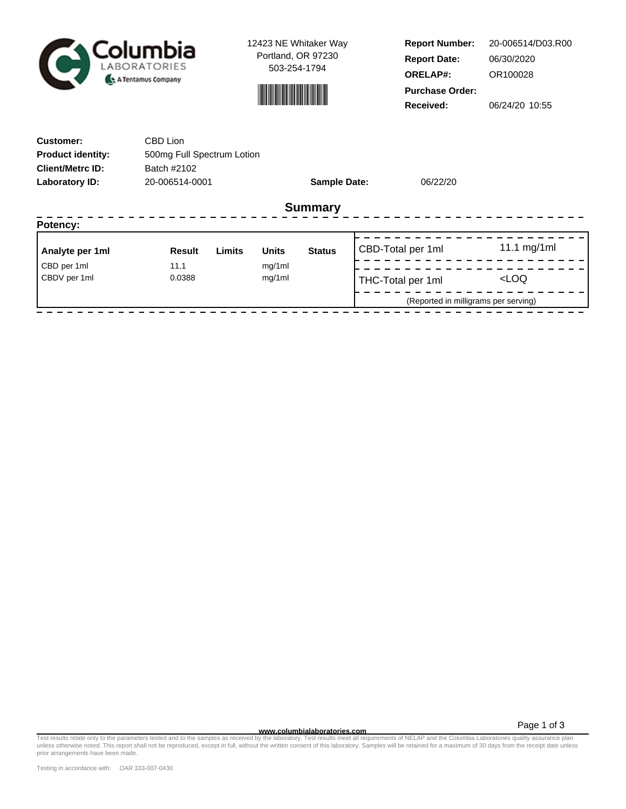

12423 NE Whitaker Way Portland, OR 97230 503-254-1794



**Report Number: Report Date: ORELAP#:** 06/30/2020 OR100028 **Received:** 06/24/20 10:55 **Purchase Order:** 20-006514/D03.R00

| CBD Lion      |        |                |                                      |                |                     |                                                                                            |
|---------------|--------|----------------|--------------------------------------|----------------|---------------------|--------------------------------------------------------------------------------------------|
| Batch #2102   |        |                |                                      |                |                     |                                                                                            |
|               |        |                |                                      |                |                     |                                                                                            |
|               |        |                |                                      |                |                     |                                                                                            |
|               |        |                |                                      |                |                     |                                                                                            |
| <b>Result</b> | Limits | <b>Units</b>   | <b>Status</b>                        |                |                     | 11.1 mg/1ml                                                                                |
| 11.1          |        | mg/1ml         |                                      |                |                     |                                                                                            |
|               |        |                |                                      |                |                     | <loq< td=""></loq<>                                                                        |
|               |        |                |                                      |                |                     |                                                                                            |
|               | 0.0388 | 20-006514-0001 | 500mg Full Spectrum Lotion<br>mg/1ml | <b>Summary</b> | <b>Sample Date:</b> | 06/22/20<br>CBD-Total per 1ml<br>THC-Total per 1ml<br>(Reported in milligrams per serving) |

Page 1 of 3

**www.columbialaboratories.com** Test results relate only to the parameters tested and to the samples as received by the laboratory. Test results meet all requirements of NELAP and the Columbia Laboratories quality assurance plan unless otherwise noted. This report shall not be reproduced, except in full, without the written consent of this laboratory. Samples will be retained for a maximum of 30 days from the receipt date unless prior arrangements have been made.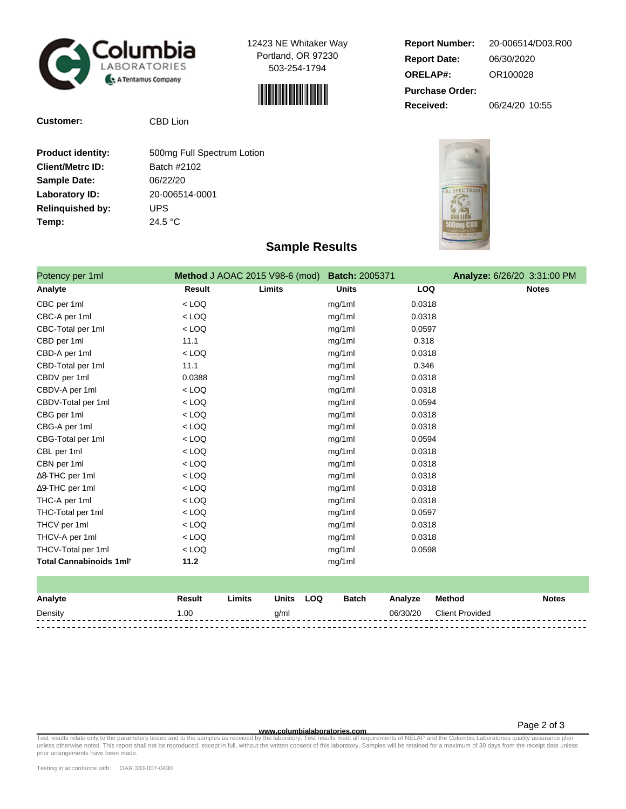

**Customer:** CBD Lion

12423 NE Whitaker Way Portland, OR 97230 503-254-1794



| <b>Report Number:</b>  | 20-006514/D03.R00 |
|------------------------|-------------------|
| <b>Report Date:</b>    | 06/30/2020        |
| <b>ORELAP#:</b>        | OR100028          |
| <b>Purchase Order:</b> |                   |
| Received:              | 06/24/20 10:55    |

**SPECTRUP** 

| <b>Product identity:</b> | 500mg Full Spectrum Lotion |
|--------------------------|----------------------------|
| <b>Client/Metrc ID:</b>  | Batch #2102                |
| <b>Sample Date:</b>      | 06/22/20                   |
| Laboratory ID:           | 20-006514-0001             |
| <b>Relinguished by:</b>  | UPS                        |
| Temp:                    | 24.5 °C                    |
|                          |                            |

## **Sample Results**

| Potency per 1ml         | <b>Method</b> J AOAC 2015 V98-6 (mod) |        | <b>Batch: 2005371</b> |            | Analyze: 6/26/20 3:31:00 PM |
|-------------------------|---------------------------------------|--------|-----------------------|------------|-----------------------------|
| Analyte                 | <b>Result</b>                         | Limits | <b>Units</b>          | <b>LOQ</b> | <b>Notes</b>                |
| CBC per 1ml             | $<$ LOQ                               |        | mg/1ml                | 0.0318     |                             |
| CBC-A per 1ml           | $<$ LOQ                               |        | mg/1ml                | 0.0318     |                             |
| CBC-Total per 1ml       | $<$ LOQ                               |        | mg/1ml                | 0.0597     |                             |
| CBD per 1ml             | 11.1                                  |        | mg/1ml                | 0.318      |                             |
| CBD-A per 1ml           | $<$ LOQ                               |        | mg/1ml                | 0.0318     |                             |
| CBD-Total per 1ml       | 11.1                                  |        | mg/1ml                | 0.346      |                             |
| CBDV per 1ml            | 0.0388                                |        | mg/1ml                | 0.0318     |                             |
| CBDV-A per 1ml          | $<$ LOQ                               |        | mg/1ml                | 0.0318     |                             |
| CBDV-Total per 1ml      | $<$ LOQ                               |        | mg/1ml                | 0.0594     |                             |
| CBG per 1ml             | $<$ LOQ                               |        | mg/1ml                | 0.0318     |                             |
| CBG-A per 1ml           | $<$ LOQ                               |        | mg/1ml                | 0.0318     |                             |
| CBG-Total per 1ml       | $<$ LOQ                               |        | mg/1ml                | 0.0594     |                             |
| CBL per 1ml             | $<$ LOQ                               |        | mg/1ml                | 0.0318     |                             |
| CBN per 1ml             | $<$ LOQ                               |        | mg/1ml                | 0.0318     |                             |
| $\Delta$ 8-THC per 1ml  | $<$ LOQ                               |        | mg/1ml                | 0.0318     |                             |
| ∆9-THC per 1ml          | $<$ LOQ                               |        | mg/1ml                | 0.0318     |                             |
| THC-A per 1ml           | $<$ LOQ                               |        | mg/1ml                | 0.0318     |                             |
| THC-Total per 1ml       | $<$ LOQ                               |        | mg/1ml                | 0.0597     |                             |
| THCV per 1ml            | $<$ LOQ                               |        | mg/1ml                | 0.0318     |                             |
| THCV-A per 1ml          | $<$ LOQ                               |        | mg/1ml                | 0.0318     |                             |
| THCV-Total per 1ml      | $<$ LOQ                               |        | mg/1ml                | 0.0598     |                             |
| Total Cannabinoids 1mlt | 11.2                                  |        | mg/1ml                |            |                             |

| Analyte | Result | ∟imits | <b>Units</b> | <b>LOQ</b> | <b>Batch</b> | Analyze  | Method                 | <b>Notes</b> |
|---------|--------|--------|--------------|------------|--------------|----------|------------------------|--------------|
| Density | .00    |        | g/ml         |            |              | 06/30/20 | <b>Client Provided</b> |              |
|         |        |        |              |            |              |          |                        |              |

**WWW.columbialaboratories.com**<br>unless otherwise noted. This report shall not be reproduced, except in full, without the written consent of this laboratory. Test results meet all requirements of NELAP and the Columbia Labor